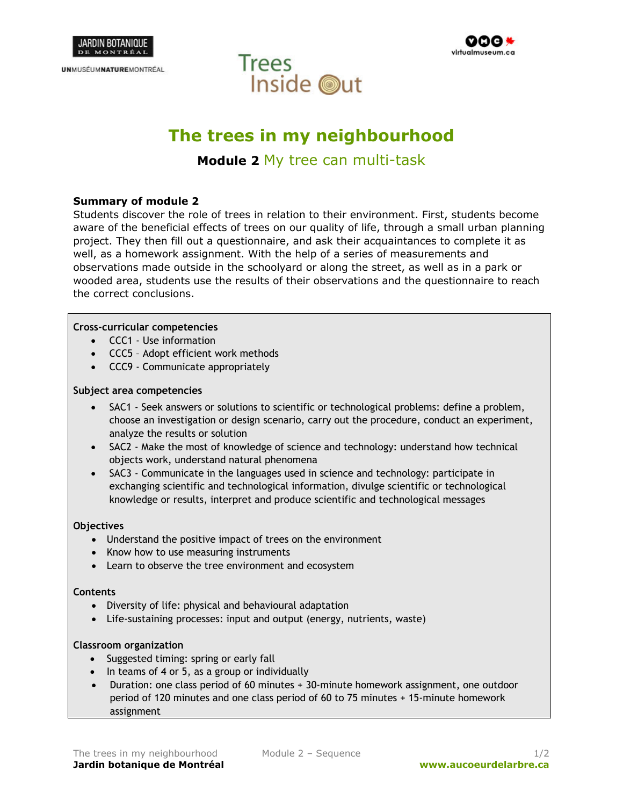

**UNMUSÉUMNATUREMONTRÉAL** 





# **The trees in my neighbourhood**

**Module 2** My tree can multi-task

# **Summary of module 2**

Students discover the role of trees in relation to their environment. First, students become aware of the beneficial effects of trees on our quality of life, through a small urban planning project. They then fill out a questionnaire, and ask their acquaintances to complete it as well, as a homework assignment. With the help of a series of measurements and observations made outside in the schoolyard or along the street, as well as in a park or wooded area, students use the results of their observations and the questionnaire to reach the correct conclusions.

### **Cross-curricular competencies**

- CCC1 Use information
- CCC5 Adopt efficient work methods
- CCC9 Communicate appropriately

### **Subject area competencies**

- SAC1 Seek answers or solutions to scientific or technological problems: define a problem, choose an investigation or design scenario, carry out the procedure, conduct an experiment, analyze the results or solution
- SAC2 Make the most of knowledge of science and technology: understand how technical objects work, understand natural phenomena
- SAC3 Communicate in the languages used in science and technology: participate in exchanging scientific and technological information, divulge scientific or technological knowledge or results, interpret and produce scientific and technological messages

#### **Objectives**

- Understand the positive impact of trees on the environment
- Know how to use measuring instruments
- Learn to observe the tree environment and ecosystem

#### **Contents**

- Diversity of life: physical and behavioural adaptation
- Life-sustaining processes: input and output (energy, nutrients, waste)

#### **Classroom organization**

- Suggested timing: spring or early fall
- In teams of 4 or 5, as a group or individually
- Duration: one class period of 60 minutes + 30-minute homework assignment, one outdoor period of 120 minutes and one class period of 60 to 75 minutes + 15-minute homework assignment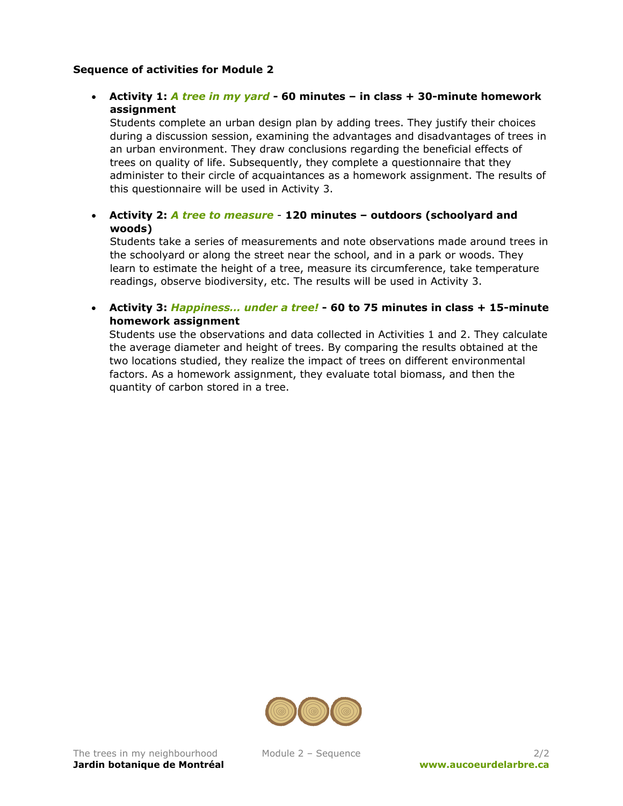# **Sequence of activities for Module 2**

# • **Activity 1:** *A tree in my yard* **- 60 minutes – in class + 30-minute homework assignment**

 Students complete an urban design plan by adding trees. They justify their choices during a discussion session, examining the advantages and disadvantages of trees in an urban environment. They draw conclusions regarding the beneficial effects of trees on quality of life. Subsequently, they complete a questionnaire that they administer to their circle of acquaintances as a homework assignment. The results of this questionnaire will be used in Activity 3.

# • **Activity 2:** *A tree to measure* - **120 minutes – outdoors (schoolyard and woods)**

 Students take a series of measurements and note observations made around trees in the schoolyard or along the street near the school, and in a park or woods. They learn to estimate the height of a tree, measure its circumference, take temperature readings, observe biodiversity, etc. The results will be used in Activity 3.

• **Activity 3:** *Happiness… under a tree!* **- 60 to 75 minutes in class + 15-minute homework assignment** 

Students use the observations and data collected in Activities 1 and 2. They calculate the average diameter and height of trees. By comparing the results obtained at the two locations studied, they realize the impact of trees on different environmental factors. As a homework assignment, they evaluate total biomass, and then the quantity of carbon stored in a tree.

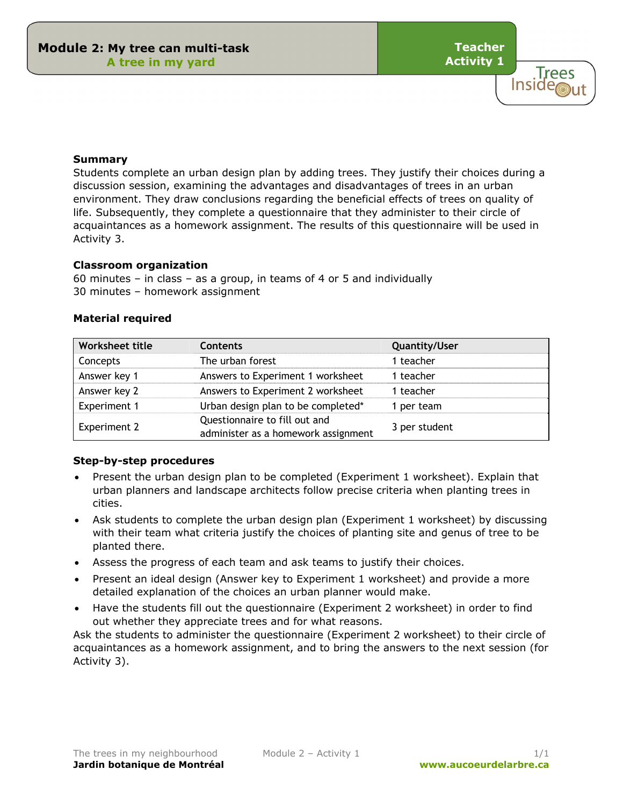**Teacher Activity 1**

> **Trees** Inside

#### **Summary**

Students complete an urban design plan by adding trees. They justify their choices during a discussion session, examining the advantages and disadvantages of trees in an urban environment. They draw conclusions regarding the beneficial effects of trees on quality of life. Subsequently, they complete a questionnaire that they administer to their circle of acquaintances as a homework assignment. The results of this questionnaire will be used in Activity 3.

#### **Classroom organization**

60 minutes – in class – as a group, in teams of 4 or 5 and individually 30 minutes – homework assignment

|  | <b>Material required</b> |
|--|--------------------------|

| Worksheet title     | <b>Contents</b>                                                      | <b>Quantity/User</b> |
|---------------------|----------------------------------------------------------------------|----------------------|
| Concepts            | The urban forest                                                     | 1 teacher            |
| Answer key 1        | Answers to Experiment 1 worksheet                                    | 1 teacher            |
| Answer key 2        | Answers to Experiment 2 worksheet                                    | 1 teacher            |
| <b>Experiment 1</b> | Urban design plan to be completed*                                   | 1 per team           |
| <b>Experiment 2</b> | Questionnaire to fill out and<br>administer as a homework assignment | 3 per student        |

#### **Step-by-step procedures**

- Present the urban design plan to be completed (Experiment 1 worksheet). Explain that urban planners and landscape architects follow precise criteria when planting trees in cities.
- Ask students to complete the urban design plan (Experiment 1 worksheet) by discussing with their team what criteria justify the choices of planting site and genus of tree to be planted there.
- Assess the progress of each team and ask teams to justify their choices.
- Present an ideal design (Answer key to Experiment 1 worksheet) and provide a more detailed explanation of the choices an urban planner would make.
- Have the students fill out the questionnaire (Experiment 2 worksheet) in order to find out whether they appreciate trees and for what reasons.

Ask the students to administer the questionnaire (Experiment 2 worksheet) to their circle of acquaintances as a homework assignment, and to bring the answers to the next session (for Activity 3).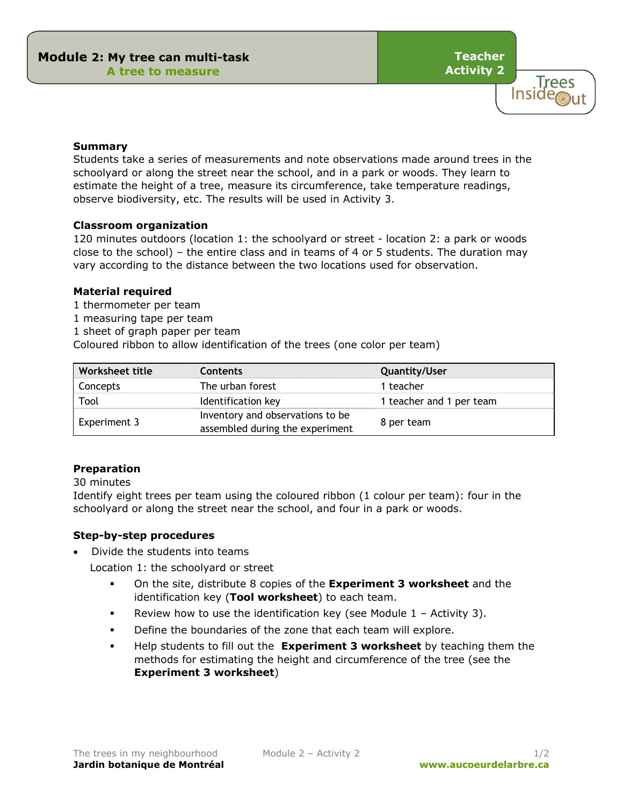**Teacher Activity 2**



### **Summary**

Students take a series of measurements and note observations made around trees in the schoolyard or along the street near the school, and in a park or woods. They learn to estimate the height of a tree, measure its circumference, take temperature readings, observe biodiversity, etc. The results will be used in Activity 3.

### **Classroom organization**

120 minutes outdoors (location 1: the schoolyard or street - location 2: a park or woods close to the school) – the entire class and in teams of 4 or 5 students. The duration may vary according to the distance between the two locations used for observation.

### **Material required**

- 1 thermometer per team
- 1 measuring tape per team
- 1 sheet of graph paper per team

Coloured ribbon to allow identification of the trees (one color per team)

| Worksheet title | <b>Contents</b>                                                     | Quantity/User            |
|-----------------|---------------------------------------------------------------------|--------------------------|
| Concepts        | The urban forest                                                    | 1 teacher                |
| Tool            | Identification key                                                  | 1 teacher and 1 per team |
| Experiment 3    | Inventory and observations to be<br>assembled during the experiment | 8 per team               |

### **Preparation**

### 30 minutes

Identify eight trees per team using the coloured ribbon (1 colour per team): four in the schoolyard or along the street near the school, and four in a park or woods.

### **Step-by-step procedures**

• Divide the students into teams

Location 1: the schoolyard or street

- On the site, distribute 8 copies of the **Experiment 3 worksheet** and the identification key (**Tool worksheet**) to each team.
- Review how to use the identification key (see Module  $1 -$  Activity 3).
- Define the boundaries of the zone that each team will explore.
- Help students to fill out the **Experiment 3 worksheet** by teaching them the methods for estimating the height and circumference of the tree (see the **Experiment 3 worksheet**)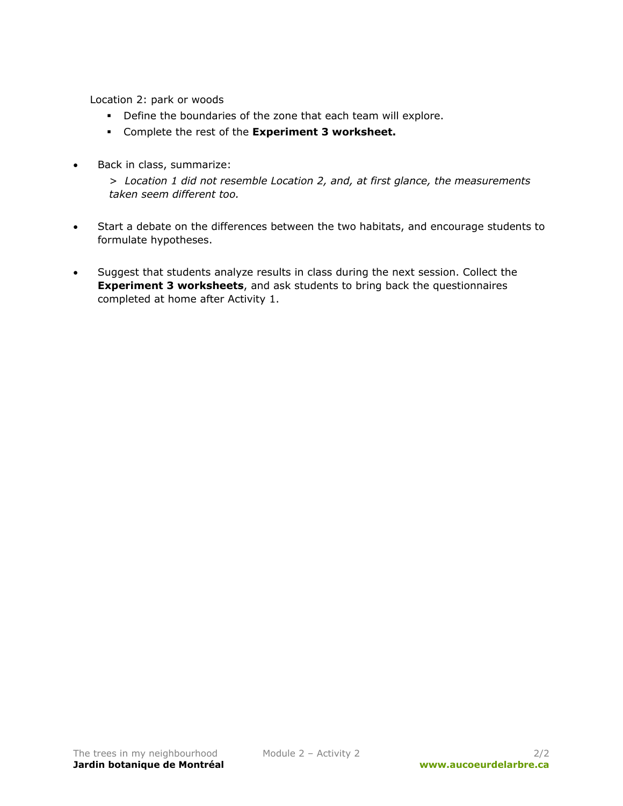Location 2: park or woods

- Define the boundaries of the zone that each team will explore.
- Complete the rest of the **Experiment 3 worksheet.**
- Back in class, summarize:

> *Location 1 did not resemble Location 2, and, at first glance, the measurements taken seem different too.* 

- Start a debate on the differences between the two habitats, and encourage students to formulate hypotheses.
- Suggest that students analyze results in class during the next session. Collect the **Experiment 3 worksheets**, and ask students to bring back the questionnaires completed at home after Activity 1.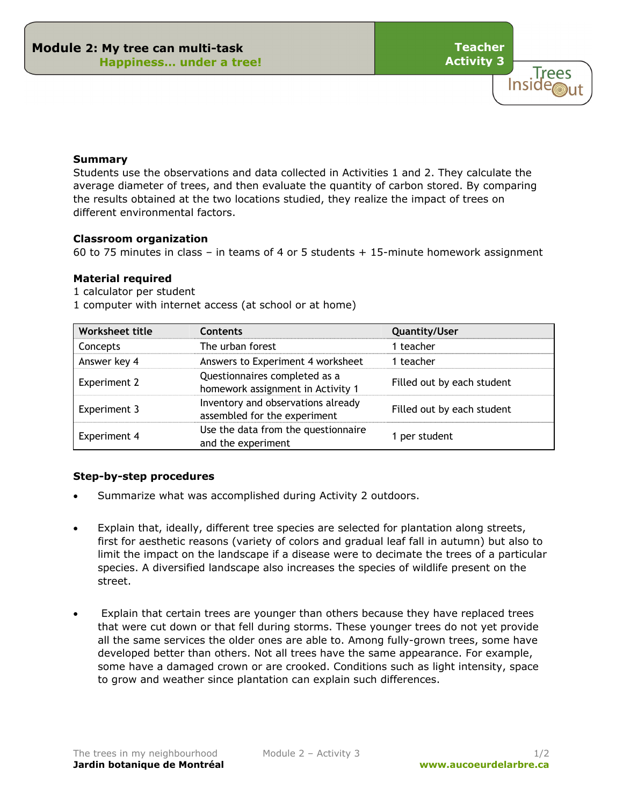**Teacher Activity 3**

**Trees** 

**Inside** 

#### **Summary**

Students use the observations and data collected in Activities 1 and 2. They calculate the average diameter of trees, and then evaluate the quantity of carbon stored. By comparing the results obtained at the two locations studied, they realize the impact of trees on different environmental factors.

#### **Classroom organization**

60 to 75 minutes in class – in teams of 4 or 5 students + 15-minute homework assignment

### **Material required**

1 calculator per student

1 computer with internet access (at school or at home)

| Worksheet title     | Contents                                                           | <b>Quantity/User</b>       |
|---------------------|--------------------------------------------------------------------|----------------------------|
| Concepts            | The urban forest                                                   | 1 teacher                  |
| Answer key 4        | Answers to Experiment 4 worksheet                                  | 1 teacher                  |
| <b>Experiment 2</b> | Questionnaires completed as a<br>homework assignment in Activity 1 | Filled out by each student |
| Experiment 3        | Inventory and observations already<br>assembled for the experiment | Filled out by each student |
| <b>Experiment 4</b> | Use the data from the questionnaire<br>and the experiment          | 1 per student              |

### **Step-by-step procedures**

- Summarize what was accomplished during Activity 2 outdoors.
- Explain that, ideally, different tree species are selected for plantation along streets, first for aesthetic reasons (variety of colors and gradual leaf fall in autumn) but also to limit the impact on the landscape if a disease were to decimate the trees of a particular species. A diversified landscape also increases the species of wildlife present on the street.
- Explain that certain trees are younger than others because they have replaced trees that were cut down or that fell during storms. These younger trees do not yet provide all the same services the older ones are able to. Among fully-grown trees, some have developed better than others. Not all trees have the same appearance. For example, some have a damaged crown or are crooked. Conditions such as light intensity, space to grow and weather since plantation can explain such differences.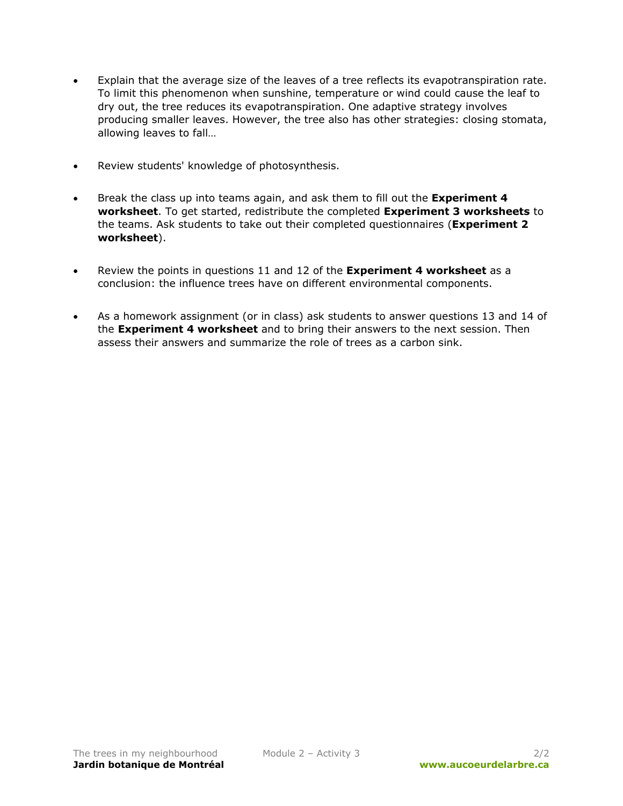- Explain that the average size of the leaves of a tree reflects its evapotranspiration rate. To limit this phenomenon when sunshine, temperature or wind could cause the leaf to dry out, the tree reduces its evapotranspiration. One adaptive strategy involves producing smaller leaves. However, the tree also has other strategies: closing stomata, allowing leaves to fall…
- Review students' knowledge of photosynthesis.
- Break the class up into teams again, and ask them to fill out the **Experiment 4 worksheet**. To get started, redistribute the completed **Experiment 3 worksheets** to the teams. Ask students to take out their completed questionnaires (**Experiment 2 worksheet**).
- Review the points in questions 11 and 12 of the **Experiment 4 worksheet** as a conclusion: the influence trees have on different environmental components.
- As a homework assignment (or in class) ask students to answer questions 13 and 14 of the **Experiment 4 worksheet** and to bring their answers to the next session. Then assess their answers and summarize the role of trees as a carbon sink.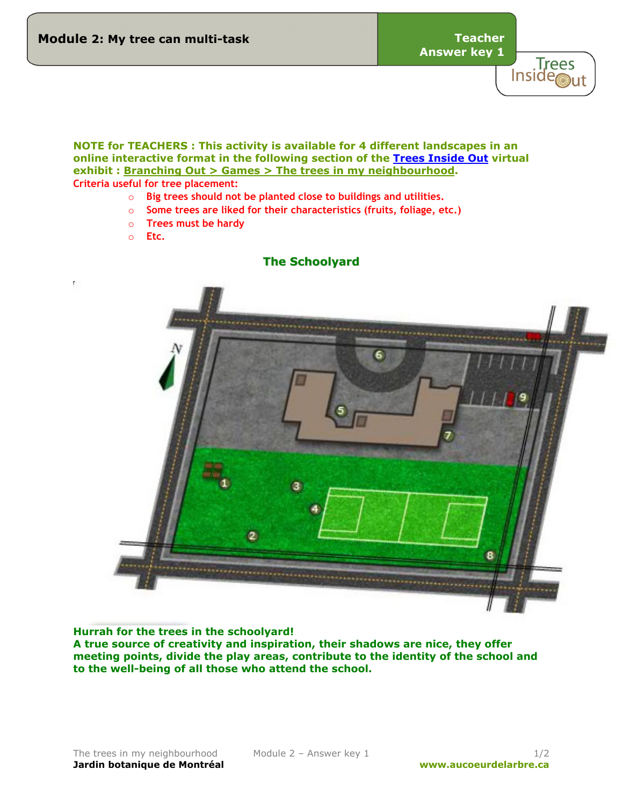**Answer key 1**



**NOTE for TEACHERS : This activity is available for 4 different landscapes in an online interactive format in the following section of the [Trees Inside Out](http://wwww.aucoeurdelarbre.ca/) virtual exhibit : Branching Out > Games > The trees in my neighbourhood. Criteria useful for tree placement:** 

- o **Big trees should not be planted close to buildings and utilities.**
- o **Some trees are liked for their characteristics (fruits, foliage, etc.)**
- o **Trees must be hardy**
- o **Etc.**



### **Hurrah for the trees in the schoolyard!**

**A true source of creativity and inspiration, their shadows are nice, they offer meeting points, divide the play areas, contribute to the identity of the school and to the well-being of all those who attend the school.**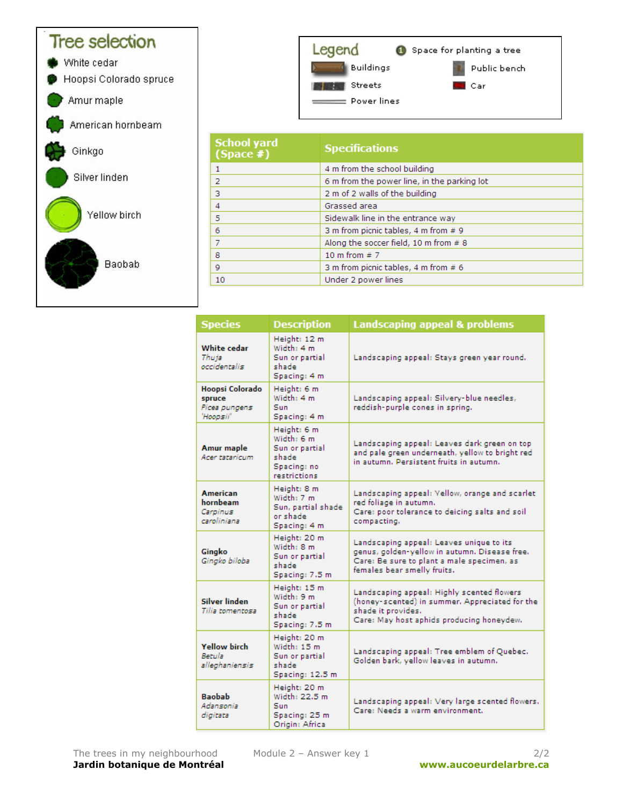

10

| <b>Species</b>                                          | <b>Description</b>                                                                  | <b>Landscaping appeal &amp; problems</b>                                                                                                                               |
|---------------------------------------------------------|-------------------------------------------------------------------------------------|------------------------------------------------------------------------------------------------------------------------------------------------------------------------|
| White cedar<br>Thuja<br>occidentalis                    | Height: 12 m<br>Width: 4 m<br>Sun or partial<br>shade<br>Spacing: 4 m               | Landscaping appeal: Stays green year round.                                                                                                                            |
| Hoopsi Colorado<br>spruce<br>Picea pungens<br>'Hoopsii' | Height: 6 m<br>Width: 4 m<br>Sun.<br>Spacing: 4 m                                   | Landscaping appeal: Silvery-blue needles,<br>reddish-purple cones in spring.                                                                                           |
| <b>Amur</b> maple<br>Acer tataricum                     | Height: 6 m<br>Width: 6 m<br>Sun or partial<br>shade<br>Spacing: no<br>restrictions | Landscaping appeal: Leaves dark green on top<br>and pale green underneath, yellow to bright red<br>in autumn. Persistent fruits in autumn.                             |
| <b>American</b><br>hornbeam<br>Carpinus<br>caroliniana  | Height: 8 m<br>Width: 7 m<br>Sun, partial shade<br>or shade.<br>Spacing: 4 m        | Landscaping appeal: Yellow, orange and scarlet<br>red foliage in autumn.<br>Care: poor tolerance to deicing salts and soil<br>compacting.                              |
| Gingko<br>Gingko biloba                                 | Height: 20 m<br>Width: 8 m<br>Sun or partial<br>shade<br>Spacing: 7.5 m             | Landscaping appeal: Leaves unique to its<br>genus, golden-yellow in autumn. Disease free.<br>Care: Be sure to plant a male specimen, as<br>females bear smelly fruits. |
| Silver linden<br>Tilia tomentosa                        | Height: 15 m<br>Width: 9 m<br>Sun or partial<br>shade<br>Spacing: 7.5 m             | Landscaping appeal: Highly scented flowers<br>(honey-scented) in summer. Appreciated for the<br>shade it provides.<br>Care: May host aphids producing honeydew.        |
| <b>Yellow birch</b><br>Betula<br>alleghaniensis         | Height: 20 m<br>Width: 15 m<br>Sun or partial<br>shade<br>Spacing: 12.5 m           | Landscaping appeal: Tree emblem of Quebec.<br>Golden bark, yellow leaves in autumn.                                                                                    |
| <b>Baobab</b><br>Adansonia<br>digitata                  | Height: 20 m<br>Width: 22.5 m<br>Sun<br>Spacing: 25 m<br>Origin: Africa             | Landscaping appeal: Very large scented flowers.<br>Care: Needs a warm environment.                                                                                     |

Under 2 power lines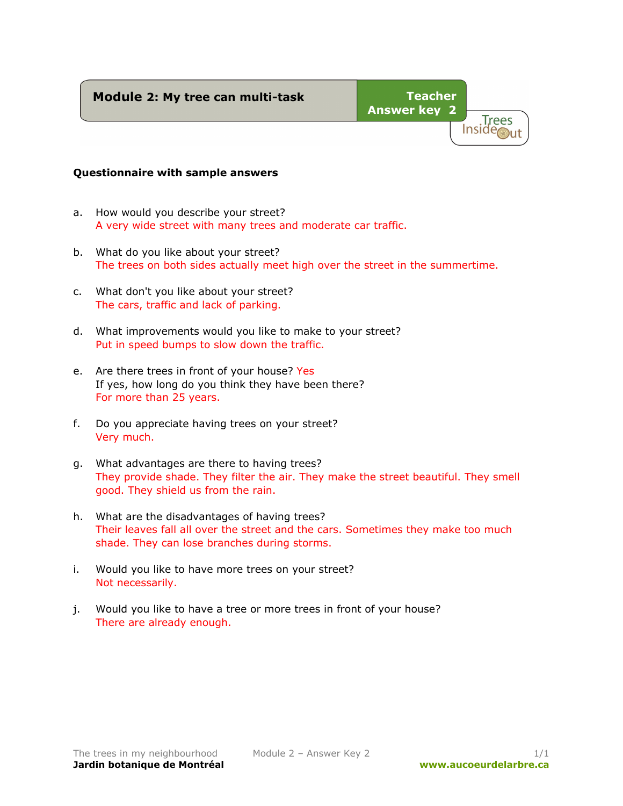# **Module 2: My tree can multi-task**



### **Questionnaire with sample answers**

- a. How would you describe your street? A very wide street with many trees and moderate car traffic.
- b. What do you like about your street? The trees on both sides actually meet high over the street in the summertime.
- c. What don't you like about your street? The cars, traffic and lack of parking.
- d. What improvements would you like to make to your street? Put in speed bumps to slow down the traffic.
- e. Are there trees in front of your house? Yes If yes, how long do you think they have been there? For more than 25 years.
- f. Do you appreciate having trees on your street? Very much.
- g. What advantages are there to having trees? They provide shade. They filter the air. They make the street beautiful. They smell good. They shield us from the rain.
- h. What are the disadvantages of having trees? Their leaves fall all over the street and the cars. Sometimes they make too much shade. They can lose branches during storms.
- i. Would you like to have more trees on your street? Not necessarily.
- j. Would you like to have a tree or more trees in front of your house? There are already enough.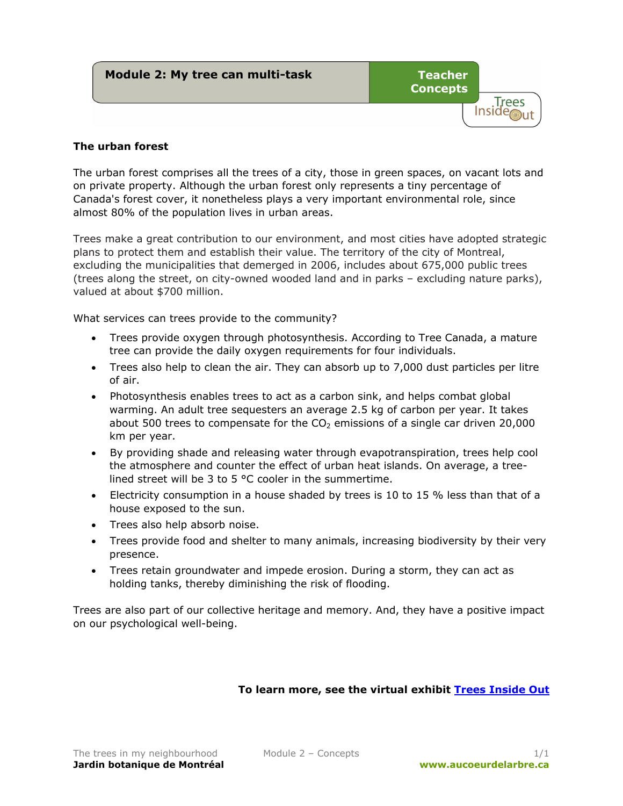| Module 2: My tree can multi-task | <b>Teacher</b><br><b>Concepts</b> | Trees |
|----------------------------------|-----------------------------------|-------|
|                                  |                                   |       |

# **The urban forest**

The urban forest comprises all the trees of a city, those in green spaces, on vacant lots and on private property. Although the urban forest only represents a tiny percentage of Canada's forest cover, it nonetheless plays a very important environmental role, since almost 80% of the population lives in urban areas.

Trees make a great contribution to our environment, and most cities have adopted strategic plans to protect them and establish their value. The territory of the city of Montreal, excluding the municipalities that demerged in 2006, includes about 675,000 public trees (trees along the street, on city-owned wooded land and in parks – excluding nature parks), valued at about \$700 million.

What services can trees provide to the community?

- Trees provide oxygen through photosynthesis. According to Tree Canada, a mature tree can provide the daily oxygen requirements for four individuals.
- Trees also help to clean the air. They can absorb up to 7,000 dust particles per litre of air.
- Photosynthesis enables trees to act as a carbon sink, and helps combat global warming. An adult tree sequesters an average 2.5 kg of carbon per year. It takes about 500 trees to compensate for the  $CO<sub>2</sub>$  emissions of a single car driven 20,000 km per year.
- By providing shade and releasing water through evapotranspiration, trees help cool the atmosphere and counter the effect of urban heat islands. On average, a treelined street will be 3 to 5 °C cooler in the summertime.
- Electricity consumption in a house shaded by trees is 10 to 15  $%$  less than that of a house exposed to the sun.
- Trees also help absorb noise.
- Trees provide food and shelter to many animals, increasing biodiversity by their very presence.
- Trees retain groundwater and impede erosion. During a storm, they can act as holding tanks, thereby diminishing the risk of flooding.

Trees are also part of our collective heritage and memory. And, they have a positive impact on our psychological well-being.

# **To learn more, see the virtual exhibit [Trees Inside Out](http://www.aucoeurdelarbre.ca/)**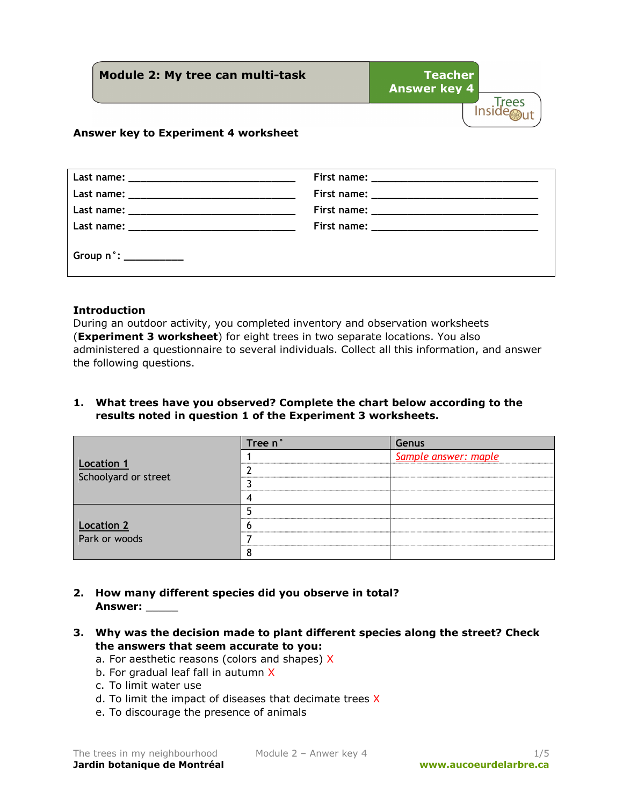**Module 2: My tree can multi-task Teacher Answer key 4**  Trees<br>Inside

# **Answer key to Experiment 4 worksheet**

| $Group n^{\circ}:\_\_\_\_\_\_\_\_\_\_\_\_\_\_$ |  |
|------------------------------------------------|--|

### **Introduction**

During an outdoor activity, you completed inventory and observation worksheets (**Experiment 3 worksheet**) for eight trees in two separate locations. You also administered a questionnaire to several individuals. Collect all this information, and answer the following questions.

# **1. What trees have you observed? Complete the chart below according to the results noted in question 1 of the Experiment 3 worksheets.**

|                                    | Tree n' | Genus                |
|------------------------------------|---------|----------------------|
|                                    |         | Sample answer: maple |
| <b>Location 1</b>                  |         |                      |
| Schoolyard or street               |         |                      |
|                                    |         |                      |
| <b>Location 2</b><br>Park or woods |         |                      |
|                                    |         |                      |
|                                    |         |                      |
|                                    |         |                      |

- **2. How many different species did you observe in total? Answer:** \_\_\_\_\_
- **3. Why was the decision made to plant different species along the street? Check the answers that seem accurate to you:**
	- a. For aesthetic reasons (colors and shapes) X
	- b. For gradual leaf fall in autumn X
	- c. To limit water use
	- d. To limit the impact of diseases that decimate trees X
	- e. To discourage the presence of animals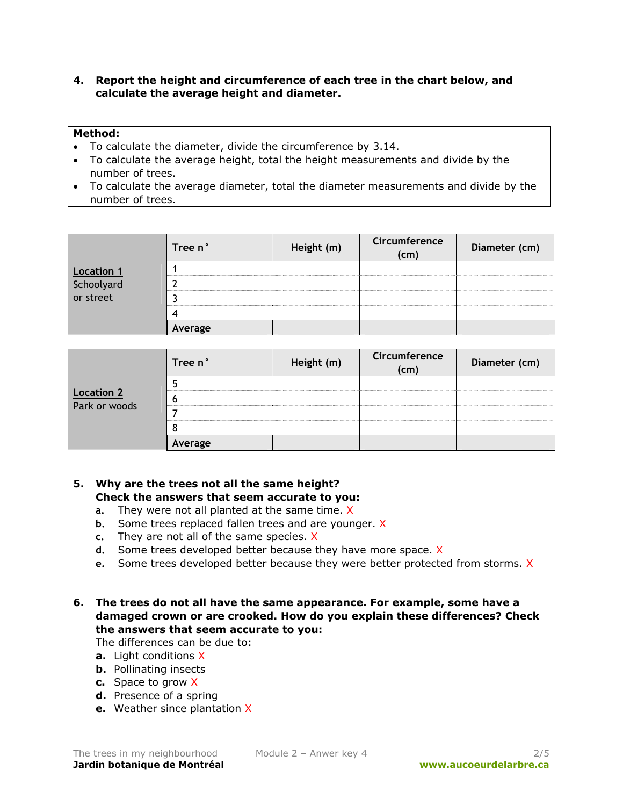# **4. Report the height and circumference of each tree in the chart below, and calculate the average height and diameter.**

### **Method:**

- To calculate the diameter, divide the circumference by 3.14.
- To calculate the average height, total the height measurements and divide by the number of trees.
- To calculate the average diameter, total the diameter measurements and divide by the number of trees.

|                                    | Tree n°        | Height (m) | Circumference<br>(cm) | Diameter (cm) |
|------------------------------------|----------------|------------|-----------------------|---------------|
| <b>Location 1</b>                  |                |            |                       |               |
| Schoolyard                         | $\overline{2}$ |            |                       |               |
| or street                          | 3              |            |                       |               |
|                                    | 4              |            |                       |               |
|                                    | Average        |            |                       |               |
|                                    |                |            |                       |               |
| <b>Location 2</b><br>Park or woods | Tree n°        | Height (m) | Circumference<br>(cm) | Diameter (cm) |
|                                    | 5              |            |                       |               |
|                                    | 6              |            |                       |               |
|                                    | 7              |            |                       |               |
|                                    | 8              |            |                       |               |
|                                    | Average        |            |                       |               |

# **5. Why are the trees not all the same height? Check the answers that seem accurate to you:**

- **a.** They were not all planted at the same time. X
- **b.** Some trees replaced fallen trees and are younger. X
- **c.** They are not all of the same species. X
- **d.** Some trees developed better because they have more space. X
- **e.** Some trees developed better because they were better protected from storms. X

# **6. The trees do not all have the same appearance. For example, some have a damaged crown or are crooked. How do you explain these differences? Check the answers that seem accurate to you:**

The differences can be due to:

- **a.** Light conditions X
- **b.** Pollinating insects
- **c.** Space to grow X
- **d.** Presence of a spring
- **e.** Weather since plantation X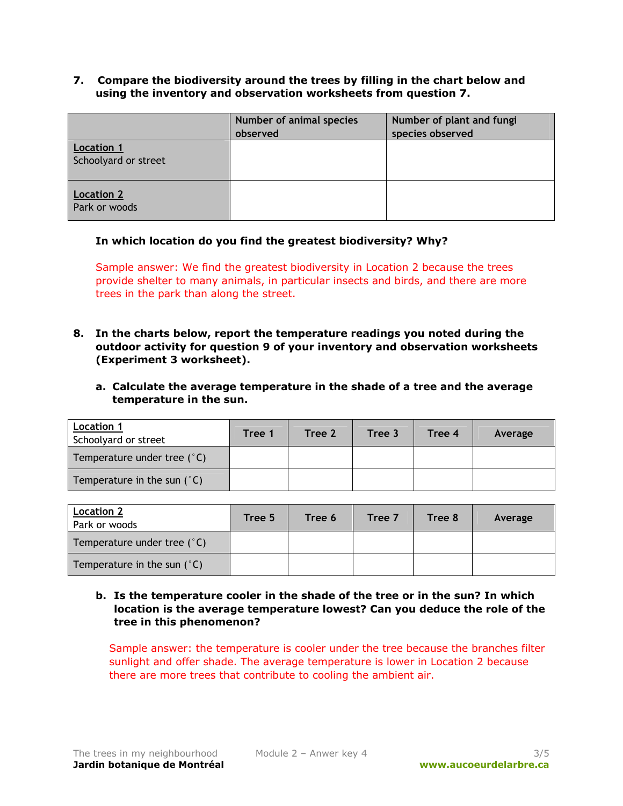**7. Compare the biodiversity around the trees by filling in the chart below and using the inventory and observation worksheets from question 7.** 

|                                           | Number of animal species<br>observed | Number of plant and fungi<br>species observed |
|-------------------------------------------|--------------------------------------|-----------------------------------------------|
| <b>Location 1</b><br>Schoolyard or street |                                      |                                               |
| <b>Location 2</b><br>Park or woods        |                                      |                                               |

### **In which location do you find the greatest biodiversity? Why?**

Sample answer: We find the greatest biodiversity in Location 2 because the trees provide shelter to many animals, in particular insects and birds, and there are more trees in the park than along the street.

- **8. In the charts below, report the temperature readings you noted during the outdoor activity for question 9 of your inventory and observation worksheets (Experiment 3 worksheet).** 
	- **a. Calculate the average temperature in the shade of a tree and the average temperature in the sun.**

| <b>Location 1</b><br>Schoolyard or street | Tree 1 | Tree 2 | Tree 3 | Tree 4 | Average |
|-------------------------------------------|--------|--------|--------|--------|---------|
| Temperature under tree $(°C)$             |        |        |        |        |         |
| Temperature in the sun $(°C)$             |        |        |        |        |         |

| <b>Location 2</b><br>Park or woods | Tree 5 | Tree 6 | Tree 7 | Tree 8 | Average |
|------------------------------------|--------|--------|--------|--------|---------|
| Temperature under tree $(°C)$      |        |        |        |        |         |
| Temperature in the sun $(°C)$      |        |        |        |        |         |

# **b. Is the temperature cooler in the shade of the tree or in the sun? In which location is the average temperature lowest? Can you deduce the role of the tree in this phenomenon?**

Sample answer: the temperature is cooler under the tree because the branches filter sunlight and offer shade. The average temperature is lower in Location 2 because there are more trees that contribute to cooling the ambient air.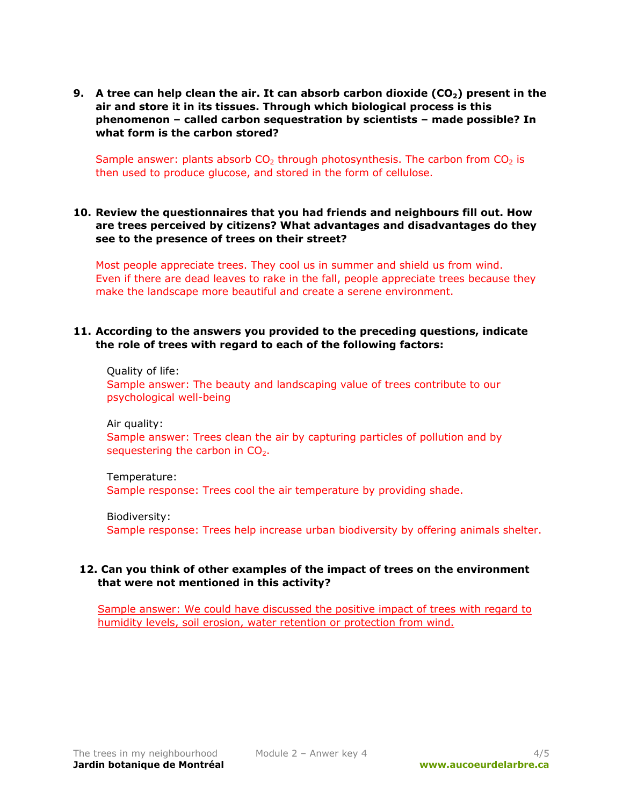**9.** A tree can help clean the air. It can absorb carbon dioxide (CO<sub>2</sub>) present in the **air and store it in its tissues. Through which biological process is this phenomenon – called carbon sequestration by scientists – made possible? In what form is the carbon stored?**

Sample answer: plants absorb  $CO<sub>2</sub>$  through photosynthesis. The carbon from  $CO<sub>2</sub>$  is then used to produce glucose, and stored in the form of cellulose.

# **10. Review the questionnaires that you had friends and neighbours fill out. How are trees perceived by citizens? What advantages and disadvantages do they see to the presence of trees on their street?**

Most people appreciate trees. They cool us in summer and shield us from wind. Even if there are dead leaves to rake in the fall, people appreciate trees because they make the landscape more beautiful and create a serene environment.

### **11. According to the answers you provided to the preceding questions, indicate the role of trees with regard to each of the following factors:**

Quality of life: Sample answer: The beauty and landscaping value of trees contribute to our psychological well-being

Air quality: Sample answer: Trees clean the air by capturing particles of pollution and by sequestering the carbon in  $CO<sub>2</sub>$ .

Temperature: Sample response: Trees cool the air temperature by providing shade.

Biodiversity: Sample response: Trees help increase urban biodiversity by offering animals shelter.

# **12. Can you think of other examples of the impact of trees on the environment that were not mentioned in this activity?**

Sample answer: We could have discussed the positive impact of trees with regard to humidity levels, soil erosion, water retention or protection from wind.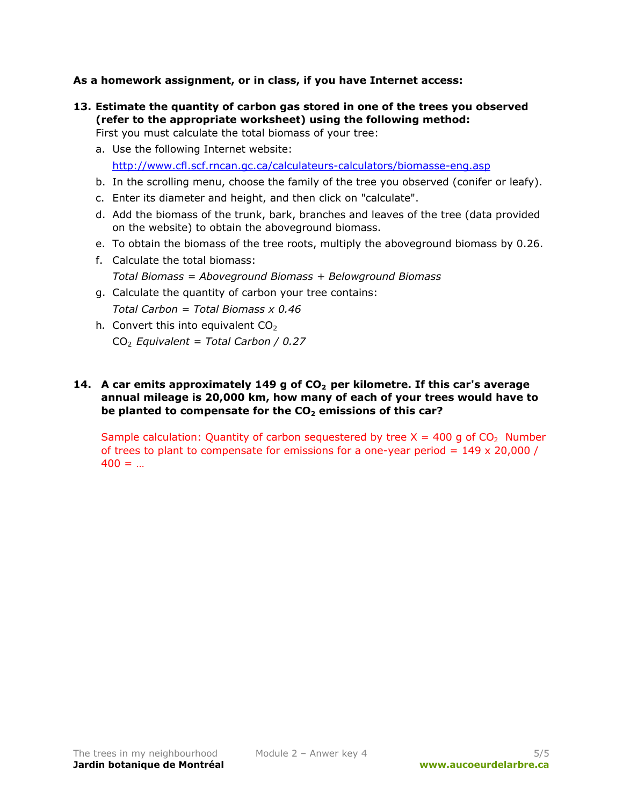# **As a homework assignment, or in class, if you have Internet access:**

- **13. Estimate the quantity of carbon gas stored in one of the trees you observed (refer to the appropriate worksheet) using the following method:** 
	- First you must calculate the total biomass of your tree:
	- a. Use the following Internet website: <http://www.cfl.scf.rncan.gc.ca/calculateurs-calculators/biomasse-eng.asp>
	- b. In the scrolling menu, choose the family of the tree you observed (conifer or leafy).
	- c. Enter its diameter and height, and then click on "calculate".
	- d. Add the biomass of the trunk, bark, branches and leaves of the tree (data provided on the website) to obtain the aboveground biomass.
	- e. To obtain the biomass of the tree roots, multiply the aboveground biomass by 0.26.
	- f. Calculate the total biomass:
		- *Total Biomass = Aboveground Biomass + Belowground Biomass*
	- g. Calculate the quantity of carbon your tree contains:

*Total Carbon = Total Biomass x 0.46* 

h. Convert this into equivalent  $CO<sub>2</sub>$ CO2 *Equivalent = Total Carbon / 0.27* 

# 14. A car emits approximately 149 g of CO<sub>2</sub> per kilometre. If this car's average **annual mileage is 20,000 km, how many of each of your trees would have to**  be planted to compensate for the CO<sub>2</sub> emissions of this car?

Sample calculation: Quantity of carbon sequestered by tree  $X = 400$  g of  $CO<sub>2</sub>$  Number of trees to plant to compensate for emissions for a one-year period =  $149 \times 20,000$  /  $400 = ...$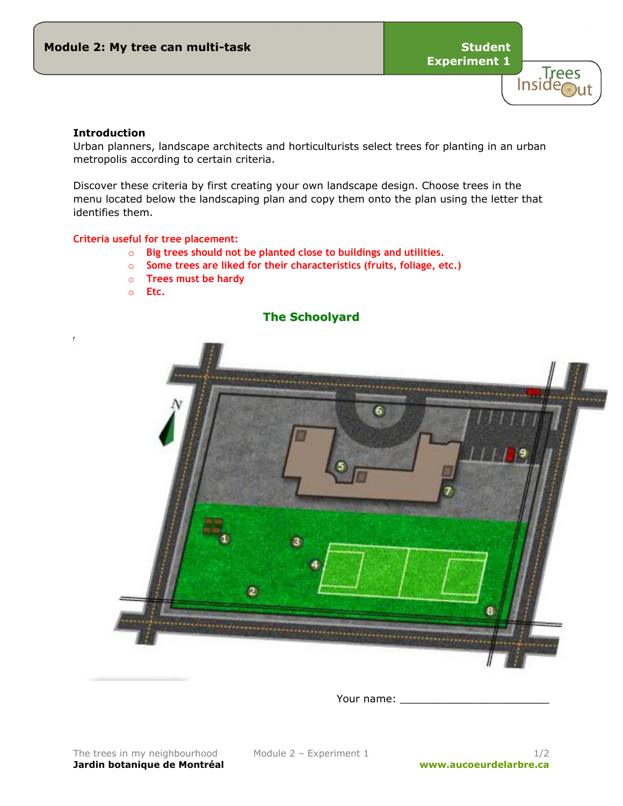

### **Introduction**

P.

Urban planners, landscape architects and horticulturists select trees for planting in an urban metropolis according to certain criteria.

Discover these criteria by first creating your own landscape design. Choose trees in the menu located below the landscaping plan and copy them onto the plan using the letter that identifies them.

#### **Criteria useful for tree placement:**

- o **Big trees should not be planted close to buildings and utilities.**
- o **Some trees are liked for their characteristics (fruits, foliage, etc.)**
- o **Trees must be hardy**
- o **Etc.**

# **The Schoolyard**



Your name: \_\_\_\_\_\_\_\_\_\_\_\_\_\_\_\_\_\_\_\_\_\_\_\_\_\_\_\_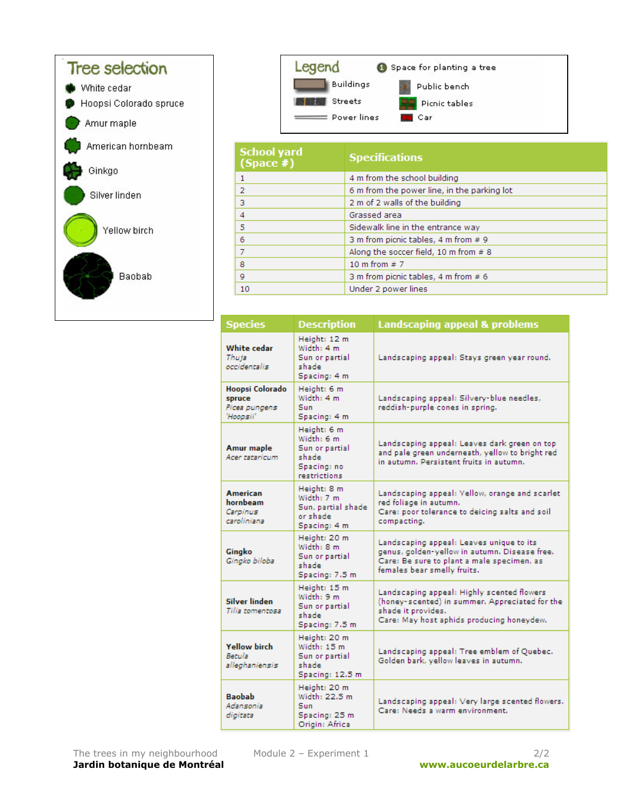



| <b>School yard</b><br>$(Space \#)$ | <b>Specifications</b>                       |
|------------------------------------|---------------------------------------------|
| 1                                  | 4 m from the school building                |
| 2                                  | 6 m from the power line, in the parking lot |
| 3                                  | 2 m of 2 walls of the building              |
| 4                                  | Grassed area                                |
| 5                                  | Sidewalk line in the entrance way           |
| 6                                  | 3 m from picnic tables, 4 m from # 9        |
| 7                                  | Along the soccer field, 10 m from # 8       |
| 8                                  | 10 m from $# 7$                             |
| 9                                  | 3 m from picnic tables, 4 m from # 6        |
| 10                                 | Under 2 power lines                         |

| <b>Species</b>                                          | <b>Description</b>                                                                  | <b>Landscaping appeal &amp; problems</b>                                                                                                                               |
|---------------------------------------------------------|-------------------------------------------------------------------------------------|------------------------------------------------------------------------------------------------------------------------------------------------------------------------|
| White cedar<br>Thuja<br>occidentalis                    | Height: 12 m<br>Width: 4 m<br>Sun or partial<br>shade<br>Spacing: 4 m               | Landscaping appeal: Stays green year round.                                                                                                                            |
| Hoopsi Colorado<br>spruce<br>Picea pungens<br>'Hoopsii' | Height: 6 m<br>Width: 4 m<br>Sun<br>Spacing: 4 m                                    | Landscaping appeal: Silvery-blue needles,<br>reddish-purple cones in spring.                                                                                           |
| Amur maple<br>Acer tataricum                            | Height: 6 m<br>Width: 6 m<br>Sun or partial<br>shade<br>Spacing: no<br>restrictions | Landscaping appeal: Leaves dark green on top<br>and pale green underneath, yellow to bright red<br>in autumn. Persistent fruits in autumn.                             |
| <b>American</b><br>hornbeam<br>Carpinus<br>caroliniana  | Height: 8 m<br>Width: 7 m<br>Sun, partial shade<br>or shade.<br>Spacing: 4 m        | Landscaping appeal: Yellow, orange and scarlet<br>red foliage in autumn.<br>Care: poor tolerance to deicing salts and soil<br>compacting.                              |
| Gingko<br>Gingko biloba                                 | Height: 20 m<br>Width: 8 m<br>Sun or partial<br>shade<br>Spacing: 7.5 m             | Landscaping appeal: Leaves unique to its<br>genus, golden-yellow in autumn. Disease free.<br>Care: Be sure to plant a male specimen, as<br>females bear smelly fruits. |
| <b>Silver linden</b><br>Tilia tomentosa                 | Height: 15 m<br>Width: 9 m<br>Sun or partial<br>shade<br>Spacing: 7.5 m             | Landscaping appeal: Highly scented flowers<br>(honey-scented) in summer. Appreciated for the<br>shade it provides.<br>Care: May host aphids producing honeydew.        |
| <b>Yellow birch</b><br>Betula<br>alleghaniensis         | Height: 20 m<br>Width: 15 m<br>Sun or partial<br>shade<br>Spacing: 12.5 m           | Landscaping appeal: Tree emblem of Quebec.<br>Golden bark, yellow leaves in autumn.                                                                                    |
| <b>Baobab</b><br>Adansonia<br>digitata                  | Height: 20 m<br>Width: 22.5 m<br>Sun<br>Spacing: 25 m<br>Origin: Africa             | Landscaping appeal: Very large scented flowers.<br>Care: Needs a warm environment.                                                                                     |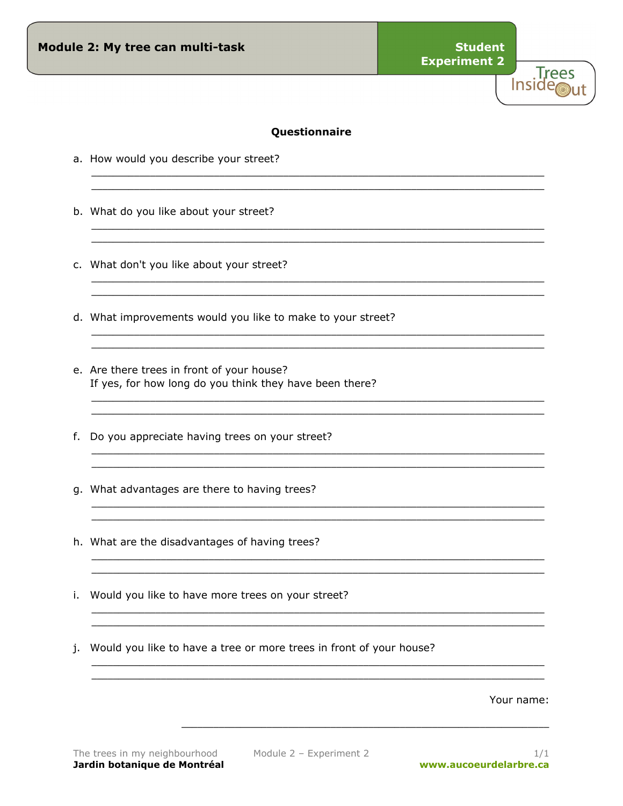**Trees** Inside<sub>out</sub>

# Questionnaire

- a. How would you describe your street?
- b. What do you like about your street?
- c. What don't you like about your street?
- d. What improvements would you like to make to your street?
- e. Are there trees in front of your house? If yes, for how long do you think they have been there?
- f. Do you appreciate having trees on your street?
- g. What advantages are there to having trees?
- h. What are the disadvantages of having trees?
- i. Would you like to have more trees on your street?
- j. Would you like to have a tree or more trees in front of your house?

Your name: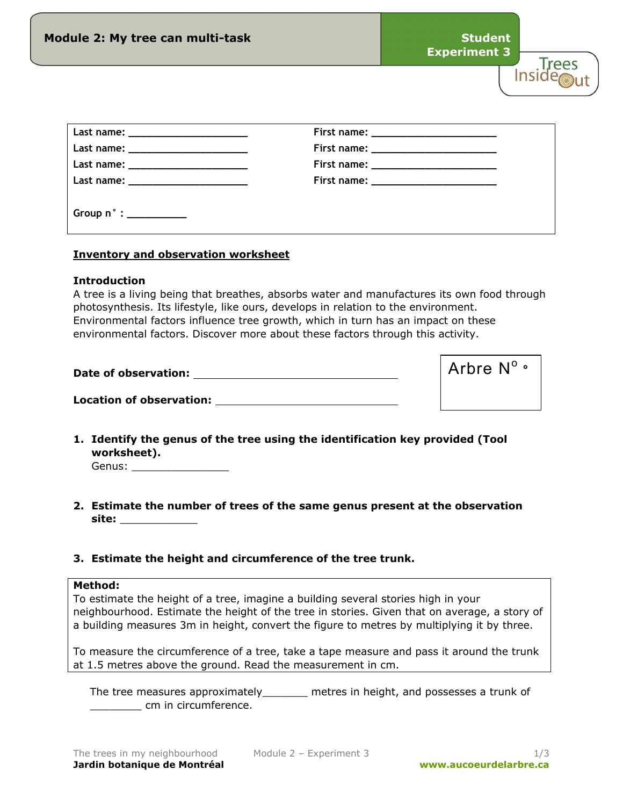| Module 2: My tree can multi-task                                                                               | <b>Student</b><br><b>Experiment 3</b>  |       |
|----------------------------------------------------------------------------------------------------------------|----------------------------------------|-------|
|                                                                                                                |                                        | irees |
|                                                                                                                | First name: __________________________ |       |
|                                                                                                                |                                        |       |
| Last name: Name and Solid Research and Solid Research and Solid Research and Solid Research and Solid Research |                                        |       |
|                                                                                                                |                                        |       |
|                                                                                                                |                                        |       |

# **Inventory and observation worksheet**

### **Introduction**

A tree is a living being that breathes, absorbs water and manufactures its own food through photosynthesis. Its lifestyle, like ours, develops in relation to the environment. Environmental factors influence tree growth, which in turn has an impact on these environmental factors. Discover more about these factors through this activity.

| Date of observation:            | $\vert$ Arbre N <sup>o.</sup> |
|---------------------------------|-------------------------------|
| <b>Location of observation:</b> |                               |

- **1. Identify the genus of the tree using the identification key provided (Tool worksheet).** 
	- Genus: \_\_\_\_\_\_\_\_\_\_\_\_\_\_\_
- **2. Estimate the number of trees of the same genus present at the observation site:** \_\_\_\_\_\_\_\_\_\_\_\_
- **3. Estimate the height and circumference of the tree trunk.**

#### **Method:**

To estimate the height of a tree, imagine a building several stories high in your neighbourhood. Estimate the height of the tree in stories. Given that on average, a story of a building measures 3m in height, convert the figure to metres by multiplying it by three.

To measure the circumference of a tree, take a tape measure and pass it around the trunk at 1.5 metres above the ground. Read the measurement in cm.

The tree measures approximately\_\_\_\_\_\_\_ metres in height, and possesses a trunk of \_\_\_\_\_\_\_\_ cm in circumference.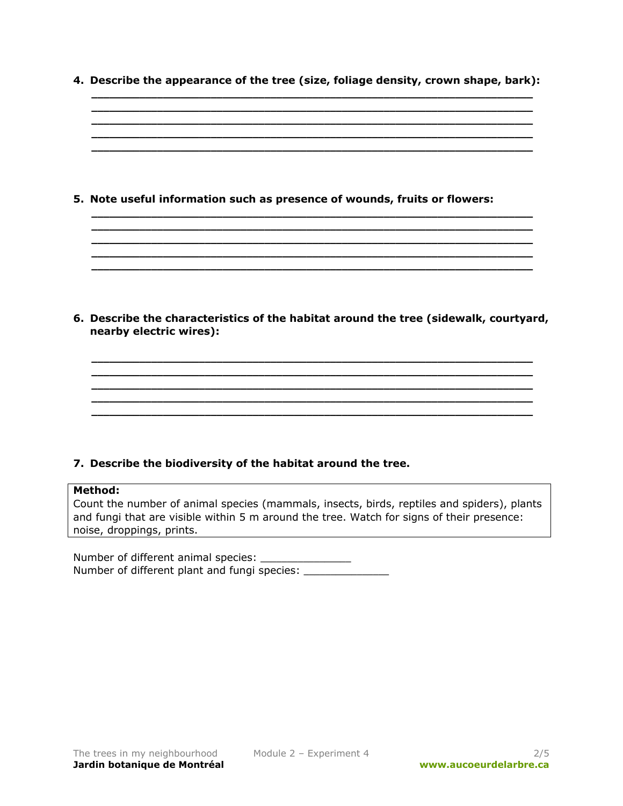**4. Describe the appearance of the tree (size, foliage density, crown shape, bark): \_\_\_\_\_\_\_\_\_\_\_\_\_\_\_\_\_\_\_\_\_\_\_\_\_\_\_\_\_\_\_\_\_\_\_\_\_\_\_\_\_\_\_\_\_\_\_\_\_\_\_\_\_\_\_\_\_\_\_\_\_\_\_\_\_\_\_\_\_\_\_\_\_\_** 

**\_\_\_\_\_\_\_\_\_\_\_\_\_\_\_\_\_\_\_\_\_\_\_\_\_\_\_\_\_\_\_\_\_\_\_\_\_\_\_\_\_\_\_\_\_\_\_\_\_\_\_\_\_\_\_\_\_\_\_\_\_\_\_\_\_\_\_\_\_\_\_\_\_\_** 

**\_\_\_\_\_\_\_\_\_\_\_\_\_\_\_\_\_\_\_\_\_\_\_\_\_\_\_\_\_\_\_\_\_\_\_\_\_\_\_\_\_\_\_\_\_\_\_\_\_\_\_\_\_\_\_\_\_\_\_\_\_\_\_\_\_\_\_\_\_\_\_\_\_\_** 

**\_\_\_\_\_\_\_\_\_\_\_\_\_\_\_\_\_\_\_\_\_\_\_\_\_\_\_\_\_\_\_\_\_\_\_\_\_\_\_\_\_\_\_\_\_\_\_\_\_\_\_\_\_\_\_\_\_\_\_\_\_\_\_\_\_\_\_\_\_\_\_\_\_\_ \_\_\_\_\_\_\_\_\_\_\_\_\_\_\_\_\_\_\_\_\_\_\_\_\_\_\_\_\_\_\_\_\_\_\_\_\_\_\_\_\_\_\_\_\_\_\_\_\_\_\_\_\_\_\_\_\_\_\_\_\_\_\_\_\_\_\_\_\_\_\_\_\_\_ \_\_\_\_\_\_\_\_\_\_\_\_\_\_\_\_\_\_\_\_\_\_\_\_\_\_\_\_\_\_\_\_\_\_\_\_\_\_\_\_\_\_\_\_\_\_\_\_\_\_\_\_\_\_\_\_\_\_\_\_\_\_\_\_\_\_\_\_\_\_\_\_\_\_ \_\_\_\_\_\_\_\_\_\_\_\_\_\_\_\_\_\_\_\_\_\_\_\_\_\_\_\_\_\_\_\_\_\_\_\_\_\_\_\_\_\_\_\_\_\_\_\_\_\_\_\_\_\_\_\_\_\_\_\_\_\_\_\_\_\_\_\_\_\_\_\_\_\_ \_\_\_\_\_\_\_\_\_\_\_\_\_\_\_\_\_\_\_\_\_\_\_\_\_\_\_\_\_\_\_\_\_\_\_\_\_\_\_\_\_\_\_\_\_\_\_\_\_\_\_\_\_\_\_\_\_\_\_\_\_\_\_\_\_\_\_\_\_\_\_\_\_\_** 

**5. Note useful information such as presence of wounds, fruits or flowers:** 

**6. Describe the characteristics of the habitat around the tree (sidewalk, courtyard, nearby electric wires):** 

**\_\_\_\_\_\_\_\_\_\_\_\_\_\_\_\_\_\_\_\_\_\_\_\_\_\_\_\_\_\_\_\_\_\_\_\_\_\_\_\_\_\_\_\_\_\_\_\_\_\_\_\_\_\_\_\_\_\_\_\_\_\_\_\_\_\_\_\_\_\_\_\_\_\_ \_\_\_\_\_\_\_\_\_\_\_\_\_\_\_\_\_\_\_\_\_\_\_\_\_\_\_\_\_\_\_\_\_\_\_\_\_\_\_\_\_\_\_\_\_\_\_\_\_\_\_\_\_\_\_\_\_\_\_\_\_\_\_\_\_\_\_\_\_\_\_\_\_\_ \_\_\_\_\_\_\_\_\_\_\_\_\_\_\_\_\_\_\_\_\_\_\_\_\_\_\_\_\_\_\_\_\_\_\_\_\_\_\_\_\_\_\_\_\_\_\_\_\_\_\_\_\_\_\_\_\_\_\_\_\_\_\_\_\_\_\_\_\_\_\_\_\_\_ \_\_\_\_\_\_\_\_\_\_\_\_\_\_\_\_\_\_\_\_\_\_\_\_\_\_\_\_\_\_\_\_\_\_\_\_\_\_\_\_\_\_\_\_\_\_\_\_\_\_\_\_\_\_\_\_\_\_\_\_\_\_\_\_\_\_\_\_\_\_\_\_\_\_ \_\_\_\_\_\_\_\_\_\_\_\_\_\_\_\_\_\_\_\_\_\_\_\_\_\_\_\_\_\_\_\_\_\_\_\_\_\_\_\_\_\_\_\_\_\_\_\_\_\_\_\_\_\_\_\_\_\_\_\_\_\_\_\_\_\_\_\_\_\_\_\_\_\_** 

# **7. Describe the biodiversity of the habitat around the tree.**

# **Method:**

Count the number of animal species (mammals, insects, birds, reptiles and spiders), plants and fungi that are visible within 5 m around the tree. Watch for signs of their presence: noise, droppings, prints.

Number of different animal species: \_\_\_\_\_\_\_\_\_\_\_\_\_\_\_\_\_\_\_ Number of different plant and fungi species: \_\_\_\_\_\_\_\_\_\_\_\_\_\_\_\_\_\_\_\_\_\_\_\_\_\_\_\_\_\_\_\_\_\_\_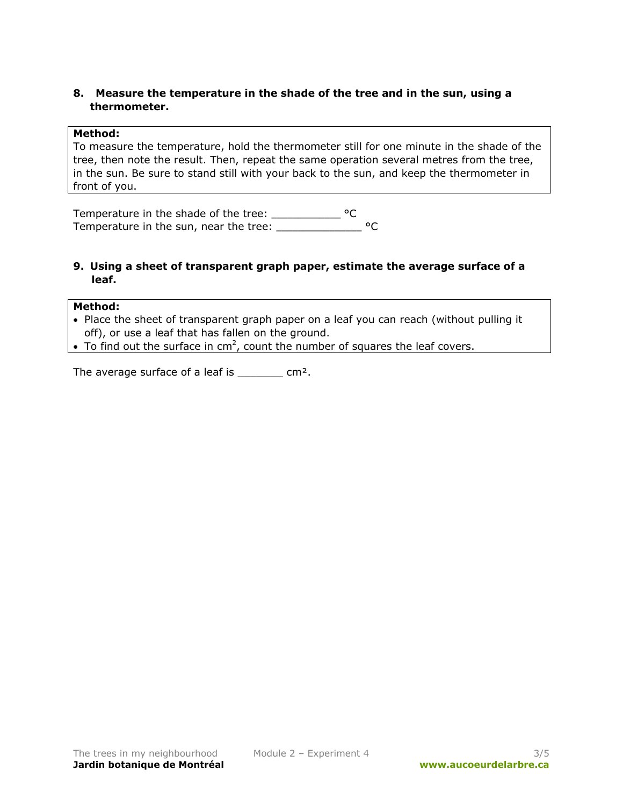# **8. Measure the temperature in the shade of the tree and in the sun, using a thermometer.**

### **Method:**

To measure the temperature, hold the thermometer still for one minute in the shade of the tree, then note the result. Then, repeat the same operation several metres from the tree, in the sun. Be sure to stand still with your back to the sun, and keep the thermometer in front of you.

Temperature in the shade of the tree: \_\_\_\_\_\_\_\_\_\_\_\_\_\_ °C Temperature in the sun, near the tree: \_\_\_\_\_\_\_\_\_\_\_\_\_\_\_\_\_ °C

### **9. Using a sheet of transparent graph paper, estimate the average surface of a leaf.**

### **Method:**

- Place the sheet of transparent graph paper on a leaf you can reach (without pulling it off), or use a leaf that has fallen on the ground.
- To find out the surface in cm<sup>2</sup>, count the number of squares the leaf covers.

The average surface of a leaf is  $\frac{1}{2}$  cm<sup>2</sup>.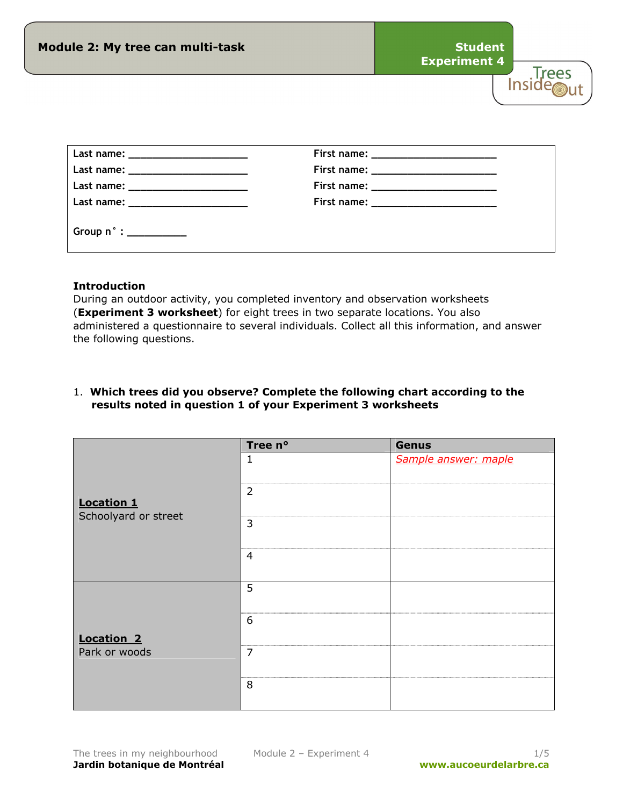| Module 2: My tree can multi-task     |                                                                                                                                                                                                                                | <b>Experiment 4</b> | <b>Student</b> |  | $r\rho\rho\varsigma$ |
|--------------------------------------|--------------------------------------------------------------------------------------------------------------------------------------------------------------------------------------------------------------------------------|---------------------|----------------|--|----------------------|
|                                      |                                                                                                                                                                                                                                |                     |                |  |                      |
|                                      |                                                                                                                                                                                                                                |                     |                |  |                      |
|                                      |                                                                                                                                                                                                                                |                     |                |  |                      |
| Last name: _________________________ | First name: North and Second Second Second Second Second Second Second Second Second Second Second Second Second Second Second Second Second Second Second Second Second Second Second Second Second Second Second Second Seco |                     |                |  |                      |
| Last name: _________________________ |                                                                                                                                                                                                                                |                     |                |  |                      |

# **Introduction**

During an outdoor activity, you completed inventory and observation worksheets (**Experiment 3 worksheet**) for eight trees in two separate locations. You also administered a questionnaire to several individuals. Collect all this information, and answer the following questions.

# 1. **Which trees did you observe? Complete the following chart according to the results noted in question 1 of your Experiment 3 worksheets**

|                                    | Tree n°        | <b>Genus</b>         |
|------------------------------------|----------------|----------------------|
|                                    | $\mathbf{1}$   | Sample answer: maple |
| <b>Location 1</b>                  | $\overline{2}$ |                      |
| Schoolyard or street               | 3              |                      |
|                                    | $\overline{4}$ |                      |
| <b>Location 2</b><br>Park or woods | 5              |                      |
|                                    | 6              |                      |
|                                    | $\overline{7}$ |                      |
|                                    | 8              |                      |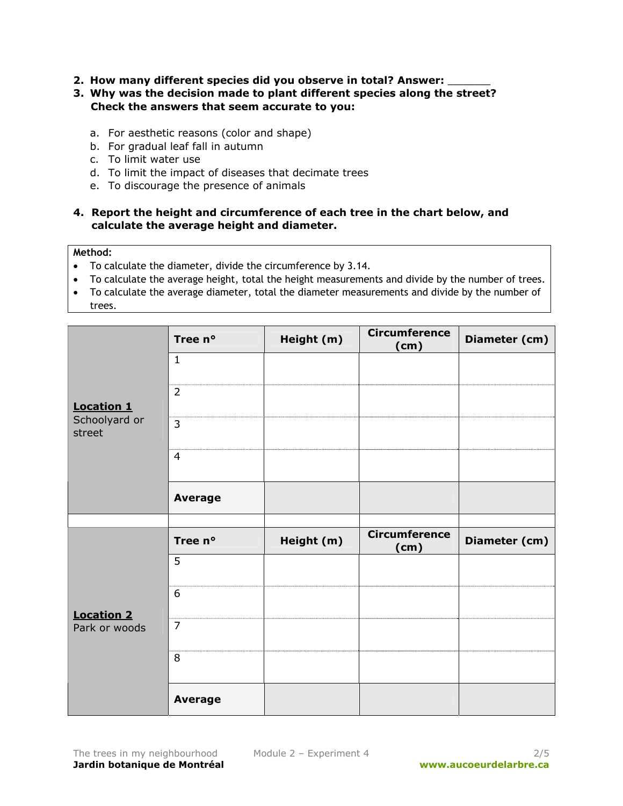- **2. How many different species did you observe in total? Answer:** \_\_\_\_\_\_\_\_
- **3. Why was the decision made to plant different species along the street? Check the answers that seem accurate to you:** 
	- a. For aesthetic reasons (color and shape)
	- b. For gradual leaf fall in autumn
	- c. To limit water use
	- d. To limit the impact of diseases that decimate trees
	- e. To discourage the presence of animals

# **4. Report the height and circumference of each tree in the chart below, and calculate the average height and diameter.**

### **Method:**

- To calculate the diameter, divide the circumference by 3.14.
- To calculate the average height, total the height measurements and divide by the number of trees.
- To calculate the average diameter, total the diameter measurements and divide by the number of trees.

|                         | Tree n°        | Height (m) | <b>Circumference</b><br>(cm) | Diameter (cm) |
|-------------------------|----------------|------------|------------------------------|---------------|
|                         | $\mathbf{1}$   |            |                              |               |
| <b>Location 1</b>       | $\overline{2}$ |            |                              |               |
| Schoolyard or<br>street | 3              |            |                              |               |
|                         | $\overline{4}$ |            |                              |               |
|                         | <b>Average</b> |            |                              |               |
|                         |                |            |                              |               |
|                         | Tree n°        | Height (m) | <b>Circumference</b><br>(cm) | Diameter (cm) |
|                         | 5              |            |                              |               |
| <b>Location 2</b>       | 6              |            |                              |               |
| Park or woods           | $\overline{7}$ |            |                              |               |
|                         | 8              |            |                              |               |
|                         | <b>Average</b> |            |                              |               |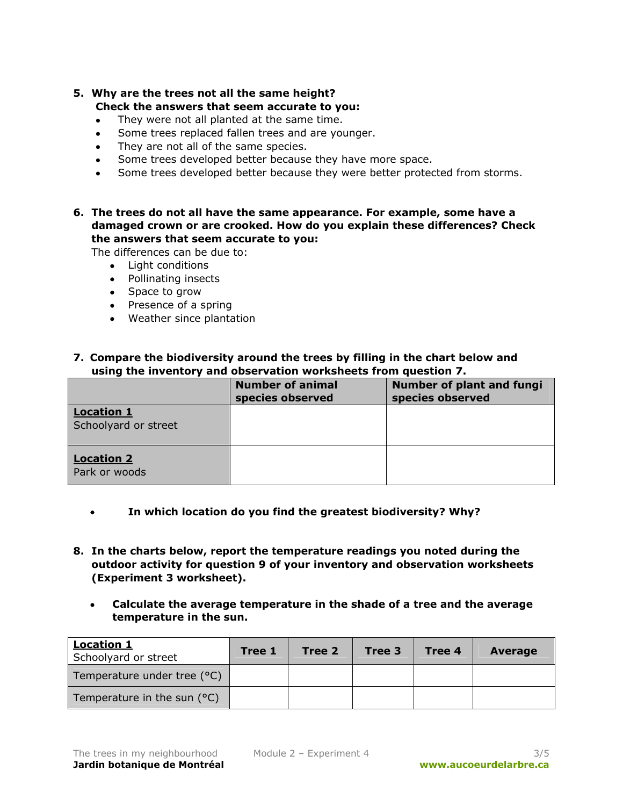# **5. Why are the trees not all the same height? Check the answers that seem accurate to you:**

- They were not all planted at the same time.
- Some trees replaced fallen trees and are younger.
- They are not all of the same species.
- Some trees developed better because they have more space.
- Some trees developed better because they were better protected from storms.
- **6. The trees do not all have the same appearance. For example, some have a damaged crown or are crooked. How do you explain these differences? Check the answers that seem accurate to you:**

The differences can be due to:

- Light conditions
- Pollinating insects
- Space to grow
- Presence of a spring
- Weather since plantation

# **7. Compare the biodiversity around the trees by filling in the chart below and using the inventory and observation worksheets from question 7.**

|                                           | <b>Number of animal</b><br>species observed | <b>Number of plant and fungi</b><br>species observed |
|-------------------------------------------|---------------------------------------------|------------------------------------------------------|
| <b>Location 1</b><br>Schoolyard or street |                                             |                                                      |
| <b>Location 2</b><br>Park or woods        |                                             |                                                      |

- **In which location do you find the greatest biodiversity? Why?**
- **8. In the charts below, report the temperature readings you noted during the outdoor activity for question 9 of your inventory and observation worksheets (Experiment 3 worksheet).** 
	- **Calculate the average temperature in the shade of a tree and the average temperature in the sun.**

| <b>Location 1</b><br>Schoolyard or street | Tree 1 | Tree 2 | Tree 3 | Tree 4 | <b>Average</b> |
|-------------------------------------------|--------|--------|--------|--------|----------------|
| Temperature under tree (°C)               |        |        |        |        |                |
| Temperature in the sun $(°C)$             |        |        |        |        |                |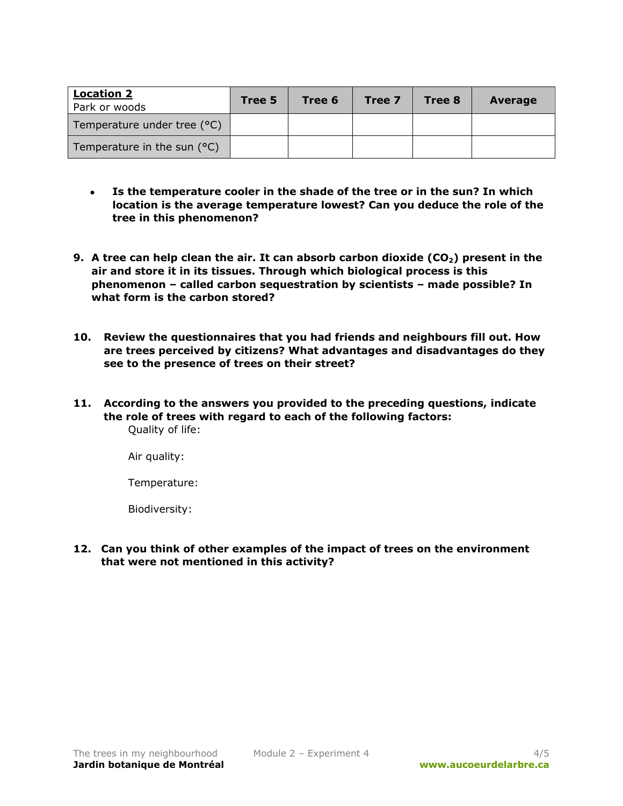| <b>Location 2</b><br>Park or woods | Tree 5 | Tree 6 | Tree 7 | Tree 8 | <b>Average</b> |
|------------------------------------|--------|--------|--------|--------|----------------|
| Temperature under tree (°C)        |        |        |        |        |                |
| Temperature in the sun $(°C)$      |        |        |        |        |                |

- **Is the temperature cooler in the shade of the tree or in the sun? In which location is the average temperature lowest? Can you deduce the role of the tree in this phenomenon?**
- **9.** A tree can help clean the air. It can absorb carbon dioxide (CO<sub>2</sub>) present in the **air and store it in its tissues. Through which biological process is this phenomenon – called carbon sequestration by scientists – made possible? In what form is the carbon stored?**
- **10. Review the questionnaires that you had friends and neighbours fill out. How are trees perceived by citizens? What advantages and disadvantages do they see to the presence of trees on their street?**
- **11. According to the answers you provided to the preceding questions, indicate the role of trees with regard to each of the following factors:**  Quality of life:

Air quality:

Temperature:

Biodiversity:

**12. Can you think of other examples of the impact of trees on the environment that were not mentioned in this activity?**